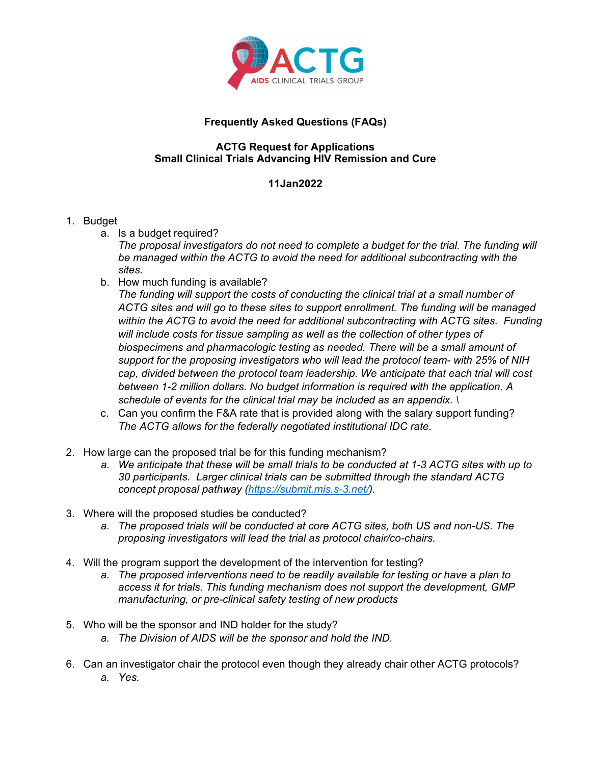

## **Frequently Asked Questions (FAQs)**

## **ACTG Request for Applications Small Clinical Trials Advancing HIV Remission and Cure**

## **11Jan2022**

## 1. Budget

a. Is a budget required?

*The proposal investigators do not need to complete a budget for the trial. The funding will be managed within the ACTG to avoid the need for additional subcontracting with the sites.*

b. How much funding is available?

*The funding will support the costs of conducting the clinical trial at a small number of ACTG sites and will go to these sites to support enrollment. The funding will be managed within the ACTG to avoid the need for additional subcontracting with ACTG sites. Funding will include costs for tissue sampling as well as the collection of other types of biospecimens and pharmacologic testing as needed. There will be a small amount of support for the proposing investigators who will lead the protocol team- with 25% of NIH cap, divided between the protocol team leadership. We anticipate that each trial will cost between 1-2 million dollars. No budget information is required with the application. A schedule of events for the clinical trial may be included as an appendix. \*

- c. Can you confirm the F&A rate that is provided along with the salary support funding? *The ACTG allows for the federally negotiated institutional IDC rate.*
- 2. How large can the proposed trial be for this funding mechanism?
	- *a. We anticipate that these will be small trials to be conducted at 1-3 ACTG sites with up to 30 participants. Larger clinical trials can be submitted through the standard ACTG concept proposal pathway [\(https://submit.mis.s-3.net/\)](https://submit.mis.s-3.net/).*
- 3. Where will the proposed studies be conducted?
	- *a. The proposed trials will be conducted at core ACTG sites, both US and non-US. The proposing investigators will lead the trial as protocol chair/co-chairs.*
- 4. Will the program support the development of the intervention for testing?
	- *a. The proposed interventions need to be readily available for testing or have a plan to access it for trials. This funding mechanism does not support the development, GMP manufacturing, or pre-clinical safety testing of new products*
- 5. Who will be the sponsor and IND holder for the study?
	- *a. The Division of AIDS will be the sponsor and hold the IND.*
- 6. Can an investigator chair the protocol even though they already chair other ACTG protocols? *a. Yes.*